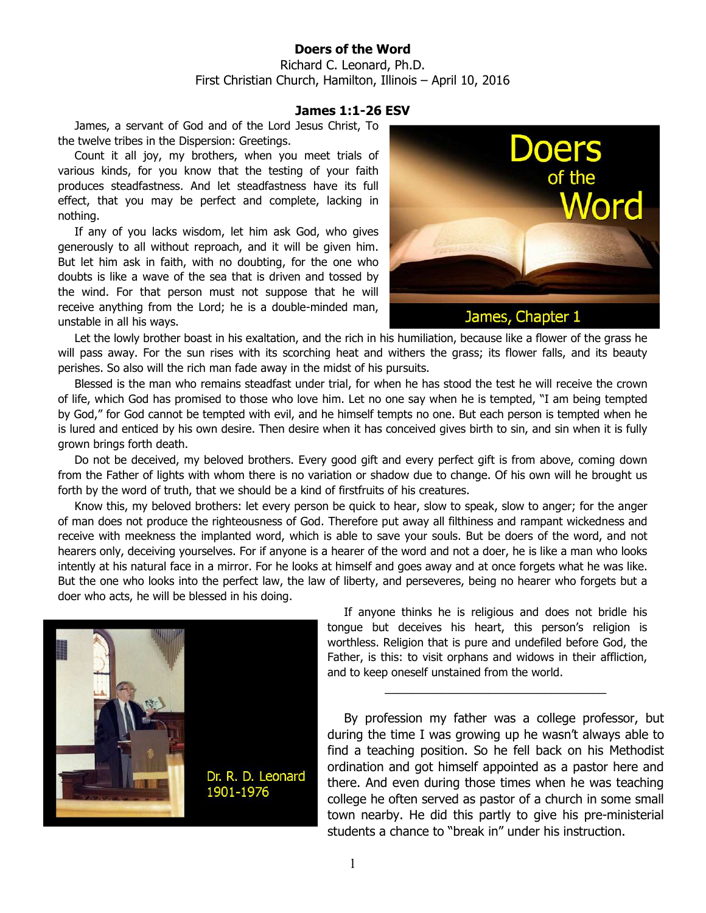## **Doers of the Word**

Richard C. Leonard, Ph.D. First Christian Church, Hamilton, Illinois – April 10, 2016

## **James 1:1-26 ESV**

James, a servant of God and of the Lord Jesus Christ, To the twelve tribes in the Dispersion: Greetings.

Count it all joy, my brothers, when you meet trials of various kinds, for you know that the testing of your faith produces steadfastness. And let steadfastness have its full effect, that you may be perfect and complete, lacking in nothing.

If any of you lacks wisdom, let him ask God, who gives generously to all without reproach, and it will be given him. But let him ask in faith, with no doubting, for the one who doubts is like a wave of the sea that is driven and tossed by the wind. For that person must not suppose that he will receive anything from the Lord; he is a double-minded man, unstable in all his ways.



Let the lowly brother boast in his exaltation, and the rich in his humiliation, because like a flower of the grass he will pass away. For the sun rises with its scorching heat and withers the grass; its flower falls, and its beauty perishes. So also will the rich man fade away in the midst of his pursuits.

Blessed is the man who remains steadfast under trial, for when he has stood the test he will receive the crown of life, which God has promised to those who love him. Let no one say when he is tempted, "I am being tempted by God," for God cannot be tempted with evil, and he himself tempts no one. But each person is tempted when he is lured and enticed by his own desire. Then desire when it has conceived gives birth to sin, and sin when it is fully grown brings forth death.

Do not be deceived, my beloved brothers. Every good gift and every perfect gift is from above, coming down from the Father of lights with whom there is no variation or shadow due to change. Of his own will he brought us forth by the word of truth, that we should be a kind of firstfruits of his creatures.

Know this, my beloved brothers: let every person be quick to hear, slow to speak, slow to anger; for the anger of man does not produce the righteousness of God. Therefore put away all filthiness and rampant wickedness and receive with meekness the implanted word, which is able to save your souls. But be doers of the word, and not hearers only, deceiving yourselves. For if anyone is a hearer of the word and not a doer, he is like a man who looks intently at his natural face in a mirror. For he looks at himself and goes away and at once forgets what he was like. But the one who looks into the perfect law, the law of liberty, and perseveres, being no hearer who forgets but a doer who acts, he will be blessed in his doing.



If anyone thinks he is religious and does not bridle his tongue but deceives his heart, this person's religion is worthless. Religion that is pure and undefiled before God, the Father, is this: to visit orphans and widows in their affliction, and to keep oneself unstained from the world.

\_\_\_\_\_\_\_\_\_\_\_\_\_\_\_\_\_\_\_\_\_\_\_\_\_\_\_\_\_\_\_\_

By profession my father was a college professor, but during the time I was growing up he wasn't always able to find a teaching position. So he fell back on his Methodist ordination and got himself appointed as a pastor here and there. And even during those times when he was teaching college he often served as pastor of a church in some small town nearby. He did this partly to give his pre-ministerial students a chance to "break in" under his instruction.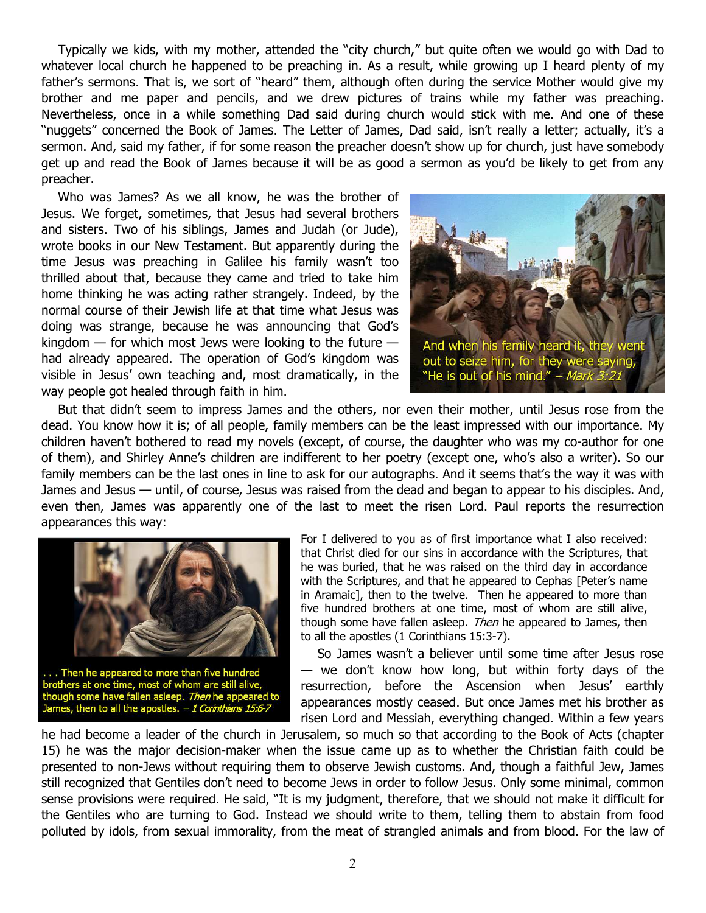Typically we kids, with my mother, attended the "city church," but quite often we would go with Dad to whatever local church he happened to be preaching in. As a result, while growing up I heard plenty of my father's sermons. That is, we sort of "heard" them, although often during the service Mother would give my brother and me paper and pencils, and we drew pictures of trains while my father was preaching. Nevertheless, once in a while something Dad said during church would stick with me. And one of these "nuggets" concerned the Book of James. The Letter of James, Dad said, isn't really a letter; actually, it's a sermon. And, said my father, if for some reason the preacher doesn't show up for church, just have somebody get up and read the Book of James because it will be as good a sermon as you'd be likely to get from any preacher.

Who was James? As we all know, he was the brother of Jesus. We forget, sometimes, that Jesus had several brothers and sisters. Two of his siblings, James and Judah (or Jude), wrote books in our New Testament. But apparently during the time Jesus was preaching in Galilee his family wasn't too thrilled about that, because they came and tried to take him home thinking he was acting rather strangely. Indeed, by the normal course of their Jewish life at that time what Jesus was doing was strange, because he was announcing that God's kingdom  $-$  for which most Jews were looking to the future  $$ had already appeared. The operation of God's kingdom was visible in Jesus' own teaching and, most dramatically, in the way people got healed through faith in him.



But that didn't seem to impress James and the others, nor even their mother, until Jesus rose from the dead. You know how it is; of all people, family members can be the least impressed with our importance. My children haven't bothered to read my novels (except, of course, the daughter who was my co-author for one of them), and Shirley Anne's children are indifferent to her poetry (except one, who's also a writer). So our family members can be the last ones in line to ask for our autographs. And it seems that's the way it was with James and Jesus — until, of course, Jesus was raised from the dead and began to appear to his disciples. And, even then, James was apparently one of the last to meet the risen Lord. Paul reports the resurrection appearances this way:



... Then he appeared to more than five hundred brothers at one time, most of whom are still alive, though some have fallen asleep. Then he appeared to James, then to all the apostles. - 1 Corinthians 15:6-7

For I delivered to you as of first importance what I also received: that Christ died for our sins in accordance with the Scriptures, that he was buried, that he was raised on the third day in accordance with the Scriptures, and that he appeared to Cephas [Peter's name in Aramaic], then to the twelve. Then he appeared to more than five hundred brothers at one time, most of whom are still alive, though some have fallen asleep. Then he appeared to James, then to all the apostles (1 Corinthians 15:3-7).

So James wasn't a believer until some time after Jesus rose — we don't know how long, but within forty days of the resurrection, before the Ascension when Jesus' earthly appearances mostly ceased. But once James met his brother as risen Lord and Messiah, everything changed. Within a few years

he had become a leader of the church in Jerusalem, so much so that according to the Book of Acts (chapter 15) he was the major decision-maker when the issue came up as to whether the Christian faith could be presented to non-Jews without requiring them to observe Jewish customs. And, though a faithful Jew, James still recognized that Gentiles don't need to become Jews in order to follow Jesus. Only some minimal, common sense provisions were required. He said, "It is my judgment, therefore, that we should not make it difficult for the Gentiles who are turning to God. Instead we should write to them, telling them to abstain from food polluted by idols, from sexual immorality, from the meat of strangled animals and from blood. For the law of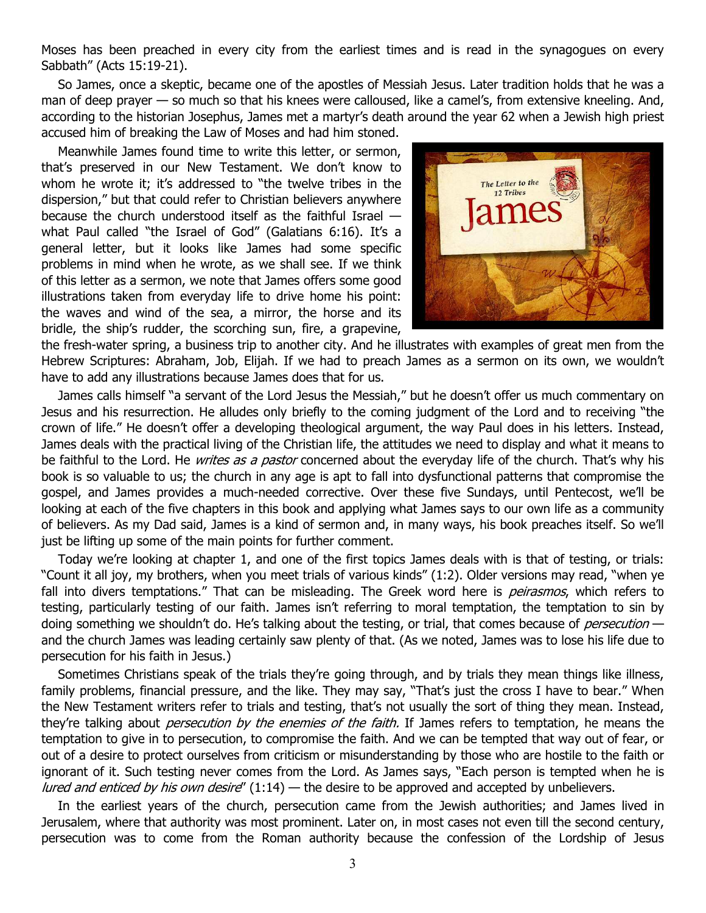Moses has been preached in every city from the earliest times and is read in the synagogues on every Sabbath" (Acts 15:19-21).

So James, once a skeptic, became one of the apostles of Messiah Jesus. Later tradition holds that he was a man of deep prayer — so much so that his knees were calloused, like a camel's, from extensive kneeling. And, according to the historian Josephus, James met a martyr's death around the year 62 when a Jewish high priest accused him of breaking the Law of Moses and had him stoned.

Meanwhile James found time to write this letter, or sermon, that's preserved in our New Testament. We don't know to whom he wrote it; it's addressed to "the twelve tribes in the dispersion," but that could refer to Christian believers anywhere because the church understood itself as the faithful Israel what Paul called "the Israel of God" (Galatians 6:16). It's a general letter, but it looks like James had some specific problems in mind when he wrote, as we shall see. If we think of this letter as a sermon, we note that James offers some good illustrations taken from everyday life to drive home his point: the waves and wind of the sea, a mirror, the horse and its bridle, the ship's rudder, the scorching sun, fire, a grapevine,



the fresh-water spring, a business trip to another city. And he illustrates with examples of great men from the Hebrew Scriptures: Abraham, Job, Elijah. If we had to preach James as a sermon on its own, we wouldn't have to add any illustrations because James does that for us.

James calls himself "a servant of the Lord Jesus the Messiah," but he doesn't offer us much commentary on Jesus and his resurrection. He alludes only briefly to the coming judgment of the Lord and to receiving "the crown of life." He doesn't offer a developing theological argument, the way Paul does in his letters. Instead, James deals with the practical living of the Christian life, the attitudes we need to display and what it means to be faithful to the Lord. He *writes as a pastor* concerned about the everyday life of the church. That's why his book is so valuable to us; the church in any age is apt to fall into dysfunctional patterns that compromise the gospel, and James provides a much-needed corrective. Over these five Sundays, until Pentecost, we'll be looking at each of the five chapters in this book and applying what James says to our own life as a community of believers. As my Dad said, James is a kind of sermon and, in many ways, his book preaches itself. So we'll just be lifting up some of the main points for further comment.

Today we're looking at chapter 1, and one of the first topics James deals with is that of testing, or trials: "Count it all joy, my brothers, when you meet trials of various kinds" (1:2). Older versions may read, "when ye fall into divers temptations." That can be misleading. The Greek word here is *peirasmos*, which refers to testing, particularly testing of our faith. James isn't referring to moral temptation, the temptation to sin by doing something we shouldn't do. He's talking about the testing, or trial, that comes because of *persecution* and the church James was leading certainly saw plenty of that. (As we noted, James was to lose his life due to persecution for his faith in Jesus.)

Sometimes Christians speak of the trials they're going through, and by trials they mean things like illness, family problems, financial pressure, and the like. They may say, "That's just the cross I have to bear." When the New Testament writers refer to trials and testing, that's not usually the sort of thing they mean. Instead, they're talking about *persecution by the enemies of the faith*. If James refers to temptation, he means the temptation to give in to persecution, to compromise the faith. And we can be tempted that way out of fear, or out of a desire to protect ourselves from criticism or misunderstanding by those who are hostile to the faith or ignorant of it. Such testing never comes from the Lord. As James says, "Each person is tempted when he is *lured and enticed by his own desire*"  $(1:14)$  — the desire to be approved and accepted by unbelievers.

In the earliest years of the church, persecution came from the Jewish authorities; and James lived in Jerusalem, where that authority was most prominent. Later on, in most cases not even till the second century, persecution was to come from the Roman authority because the confession of the Lordship of Jesus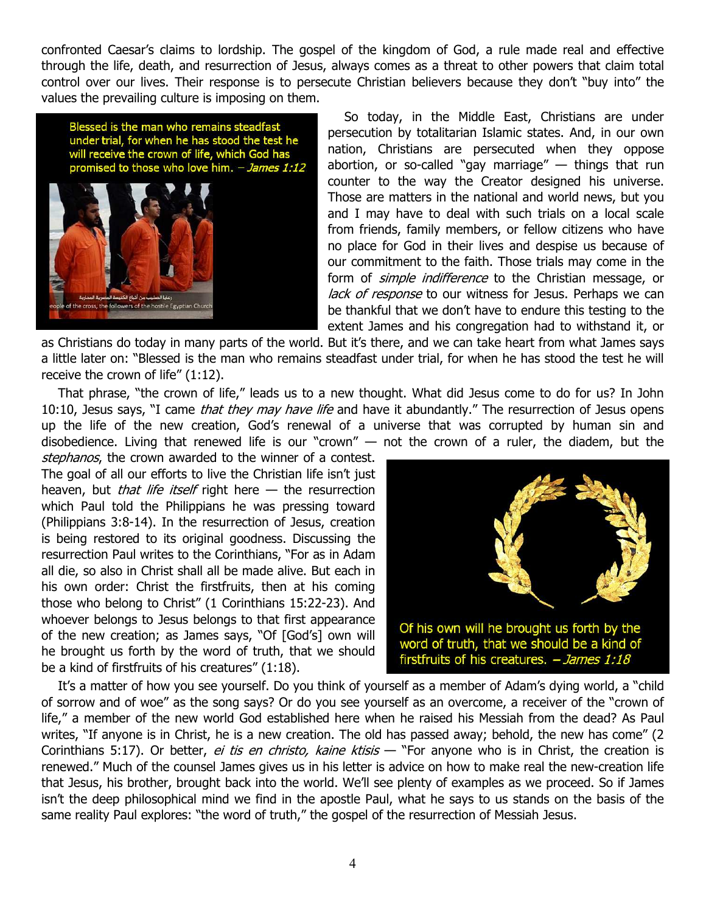confronted Caesar's claims to lordship. The gospel of the kingdom of God, a rule made real and effective through the life, death, and resurrection of Jesus, always comes as a threat to other powers that claim total control over our lives. Their response is to persecute Christian believers because they don't "buy into" the values the prevailing culture is imposing on them.



So today, in the Middle East, Christians are under persecution by totalitarian Islamic states. And, in our own nation, Christians are persecuted when they oppose abortion, or so-called "gay marriage"  $-$  things that run counter to the way the Creator designed his universe. Those are matters in the national and world news, but you and I may have to deal with such trials on a local scale from friends, family members, or fellow citizens who have no place for God in their lives and despise us because of our commitment to the faith. Those trials may come in the form of *simple indifference* to the Christian message, or lack of response to our witness for Jesus. Perhaps we can be thankful that we don't have to endure this testing to the extent James and his congregation had to withstand it, or

as Christians do today in many parts of the world. But it's there, and we can take heart from what James says a little later on: "Blessed is the man who remains steadfast under trial, for when he has stood the test he will receive the crown of life" (1:12).

That phrase, "the crown of life," leads us to a new thought. What did Jesus come to do for us? In John 10:10, Jesus says, "I came *that they may have life* and have it abundantly." The resurrection of Jesus opens up the life of the new creation, God's renewal of a universe that was corrupted by human sin and disobedience. Living that renewed life is our "crown" — not the crown of a ruler, the diadem, but the

stephanos, the crown awarded to the winner of a contest. The goal of all our efforts to live the Christian life isn't just heaven, but *that life itself* right here  $-$  the resurrection which Paul told the Philippians he was pressing toward (Philippians 3:8-14). In the resurrection of Jesus, creation is being restored to its original goodness. Discussing the resurrection Paul writes to the Corinthians, "For as in Adam all die, so also in Christ shall all be made alive. But each in his own order: Christ the firstfruits, then at his coming those who belong to Christ" (1 Corinthians 15:22-23). And whoever belongs to Jesus belongs to that first appearance of the new creation; as James says, "Of [God's] own will he brought us forth by the word of truth, that we should be a kind of firstfruits of his creatures" (1:18).



It's a matter of how you see yourself. Do you think of yourself as a member of Adam's dying world, a "child of sorrow and of woe" as the song says? Or do you see yourself as an overcome, a receiver of the "crown of life," a member of the new world God established here when he raised his Messiah from the dead? As Paul writes, "If anyone is in Christ, he is a new creation. The old has passed away; behold, the new has come" (2 Corinthians 5:17). Or better, ei tis en christo, kaine ktisis  $-$  "For anyone who is in Christ, the creation is renewed." Much of the counsel James gives us in his letter is advice on how to make real the new-creation life that Jesus, his brother, brought back into the world. We'll see plenty of examples as we proceed. So if James isn't the deep philosophical mind we find in the apostle Paul, what he says to us stands on the basis of the same reality Paul explores: "the word of truth," the gospel of the resurrection of Messiah Jesus.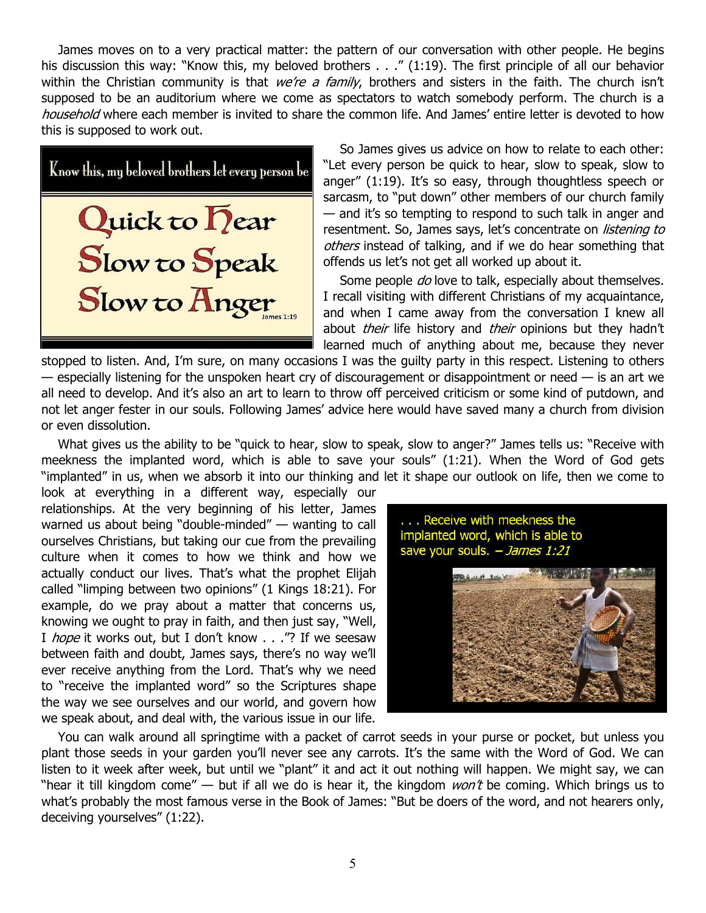James moves on to a very practical matter: the pattern of our conversation with other people. He begins his discussion this way: "Know this, my beloved brothers . . ." (1:19). The first principle of all our behavior within the Christian community is that we're a family, brothers and sisters in the faith. The church isn't supposed to be an auditorium where we come as spectators to watch somebody perform. The church is a household where each member is invited to share the common life. And James' entire letter is devoted to how this is supposed to work out.

Know this, my beloved brothers let every person be Quick to Dear Slow to Speak Slow to Anger

So James gives us advice on how to relate to each other: "Let every person be quick to hear, slow to speak, slow to anger" (1:19). It's so easy, through thoughtless speech or sarcasm, to "put down" other members of our church family — and it's so tempting to respond to such talk in anger and resentment. So, James says, let's concentrate on *listening to* others instead of talking, and if we do hear something that offends us let's not get all worked up about it.

Some people do love to talk, especially about themselves. I recall visiting with different Christians of my acquaintance, and when I came away from the conversation I knew all about *their* life history and *their* opinions but they hadn't learned much of anything about me, because they never

stopped to listen. And, I'm sure, on many occasions I was the guilty party in this respect. Listening to others  $-$  especially listening for the unspoken heart cry of discouragement or disappointment or need  $-$  is an art we all need to develop. And it's also an art to learn to throw off perceived criticism or some kind of putdown, and not let anger fester in our souls. Following James' advice here would have saved many a church from division or even dissolution.

What gives us the ability to be "quick to hear, slow to speak, slow to anger?" James tells us: "Receive with meekness the implanted word, which is able to save your souls" (1:21). When the Word of God gets "implanted" in us, when we absorb it into our thinking and let it shape our outlook on life, then we come to

look at everything in a different way, especially our relationships. At the very beginning of his letter, James warned us about being "double-minded" — wanting to call ourselves Christians, but taking our cue from the prevailing culture when it comes to how we think and how we actually conduct our lives. That's what the prophet Elijah called "limping between two opinions" (1 Kings 18:21). For example, do we pray about a matter that concerns us, knowing we ought to pray in faith, and then just say, "Well, I *hope* it works out, but I don't know . . . "? If we seesaw between faith and doubt, James says, there's no way we'll ever receive anything from the Lord. That's why we need to "receive the implanted word" so the Scriptures shape the way we see ourselves and our world, and govern how we speak about, and deal with, the various issue in our life.



You can walk around all springtime with a packet of carrot seeds in your purse or pocket, but unless you plant those seeds in your garden you'll never see any carrots. It's the same with the Word of God. We can listen to it week after week, but until we "plant" it and act it out nothing will happen. We might say, we can "hear it till kingdom come" — but if all we do is hear it, the kingdom  $won't$  be coming. Which brings us to what's probably the most famous verse in the Book of James: "But be doers of the word, and not hearers only, deceiving yourselves" (1:22).